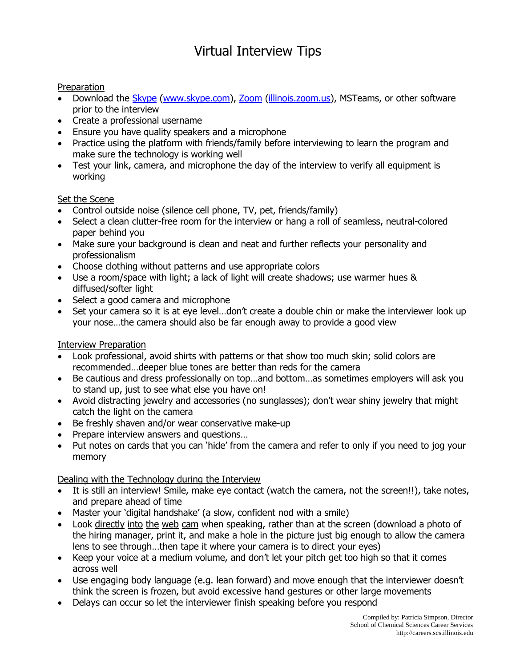# Virtual Interview Tips

#### Preparation

- Download the [Skype](http://www.skype.com/) [\(www.skype.com\)](http://www.skype.com/), [Zoom](https://illinois.zoom.us/) [\(illinois.zoom.us\)](https://illinois.zoom.us/), MSTeams, or other software prior to the interview
- Create a professional username
- Ensure you have quality speakers and a microphone
- Practice using the platform with friends/family before interviewing to learn the program and make sure the technology is working well
- Test your link, camera, and microphone the day of the interview to verify all equipment is working

### Set the Scene

- Control outside noise (silence cell phone, TV, pet, friends/family)
- Select a clean clutter-free room for the interview or hang a roll of seamless, neutral-colored paper behind you
- Make sure your background is clean and neat and further reflects your personality and professionalism
- Choose clothing without patterns and use appropriate colors
- Use a room/space with light; a lack of light will create shadows; use warmer hues & diffused/softer light
- Select a good camera and microphone
- Set your camera so it is at eye level...don't create a double chin or make the interviewer look up your nose…the camera should also be far enough away to provide a good view

# Interview Preparation

- Look professional, avoid shirts with patterns or that show too much skin; solid colors are recommended…deeper blue tones are better than reds for the camera
- Be cautious and dress professionally on top…and bottom…as sometimes employers will ask you to stand up, just to see what else you have on!
- Avoid distracting jewelry and accessories (no sunglasses); don't wear shiny jewelry that might catch the light on the camera
- Be freshly shaven and/or wear conservative make-up
- Prepare interview answers and questions...
- Put notes on cards that you can 'hide' from the camera and refer to only if you need to jog your memory

# Dealing with the Technology during the Interview

- It is still an interview! Smile, make eye contact (watch the camera, not the screen!!), take notes, and prepare ahead of time
- Master your 'digital handshake' (a slow, confident nod with a smile)
- Look directly into the web cam when speaking, rather than at the screen (download a photo of the hiring manager, print it, and make a hole in the picture just big enough to allow the camera lens to see through…then tape it where your camera is to direct your eyes)
- Keep your voice at a medium volume, and don't let your pitch get too high so that it comes across well
- Use engaging body language (e.g. lean forward) and move enough that the interviewer doesn't think the screen is frozen, but avoid excessive hand gestures or other large movements
- Delays can occur so let the interviewer finish speaking before you respond